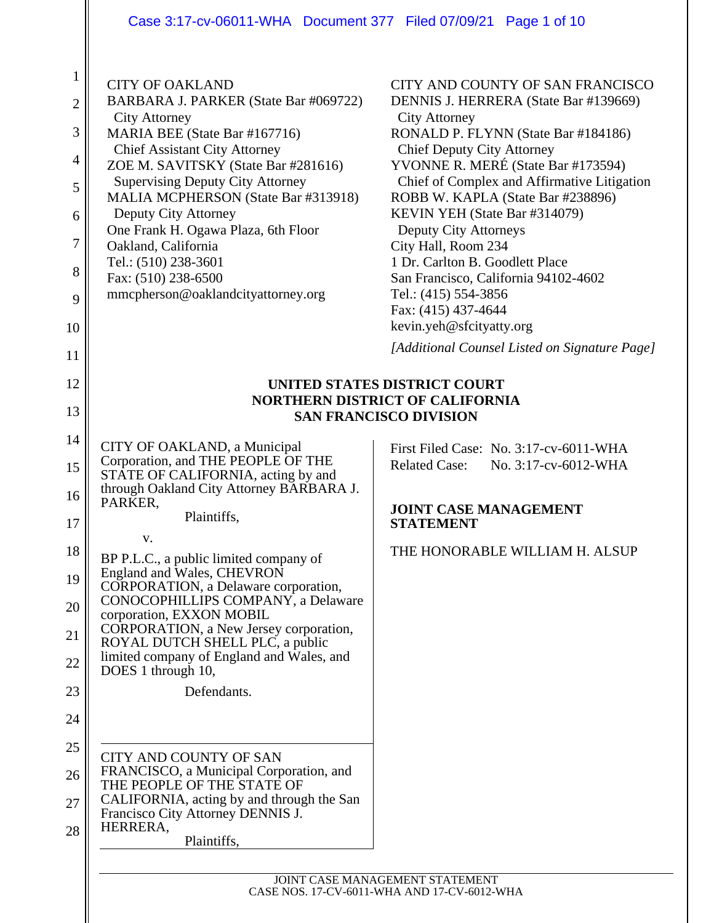# Case 3:17-cv-06011-WHA Document 377 Filed 07/09/21 Page 1 of 10

| 1<br>$\overline{c}$<br>3<br>4<br>5<br>6<br>7<br>8<br>9<br>10<br>11 | <b>CITY OF OAKLAND</b><br>BARBARA J. PARKER (State Bar #069722)<br><b>City Attorney</b><br>MARIA BEE (State Bar #167716)<br><b>Chief Assistant City Attorney</b><br>ZOE M. SAVITSKY (State Bar #281616)<br><b>Supervising Deputy City Attorney</b><br>MALIA MCPHERSON (State Bar #313918)<br>Deputy City Attorney<br>One Frank H. Ogawa Plaza, 6th Floor<br>Oakland, California<br>Tel.: (510) 238-3601<br>Fax: (510) 238-6500<br>mmcpherson@oaklandcityattorney.org | CITY AND COUNTY OF SAN FRANCISCO<br>DENNIS J. HERRERA (State Bar #139669)<br><b>City Attorney</b><br>RONALD P. FLYNN (State Bar #184186)<br><b>Chief Deputy City Attorney</b><br>YVONNE R. MERÉ (State Bar #173594)<br>Chief of Complex and Affirmative Litigation<br>ROBB W. KAPLA (State Bar #238896)<br>KEVIN YEH (State Bar #314079)<br><b>Deputy City Attorneys</b><br>City Hall, Room 234<br>1 Dr. Carlton B. Goodlett Place<br>San Francisco, California 94102-4602<br>Tel.: (415) 554-3856<br>Fax: (415) 437-4644<br>kevin.yeh@sfcityatty.org<br>[Additional Counsel Listed on Signature Page] |  |  |
|--------------------------------------------------------------------|----------------------------------------------------------------------------------------------------------------------------------------------------------------------------------------------------------------------------------------------------------------------------------------------------------------------------------------------------------------------------------------------------------------------------------------------------------------------|--------------------------------------------------------------------------------------------------------------------------------------------------------------------------------------------------------------------------------------------------------------------------------------------------------------------------------------------------------------------------------------------------------------------------------------------------------------------------------------------------------------------------------------------------------------------------------------------------------|--|--|
| 12                                                                 | UNITED STATES DISTRICT COURT                                                                                                                                                                                                                                                                                                                                                                                                                                         |                                                                                                                                                                                                                                                                                                                                                                                                                                                                                                                                                                                                        |  |  |
| 13                                                                 |                                                                                                                                                                                                                                                                                                                                                                                                                                                                      | <b>NORTHERN DISTRICT OF CALIFORNIA</b>                                                                                                                                                                                                                                                                                                                                                                                                                                                                                                                                                                 |  |  |
|                                                                    |                                                                                                                                                                                                                                                                                                                                                                                                                                                                      | <b>SAN FRANCISCO DIVISION</b>                                                                                                                                                                                                                                                                                                                                                                                                                                                                                                                                                                          |  |  |
| 14                                                                 | CITY OF OAKLAND, a Municipal                                                                                                                                                                                                                                                                                                                                                                                                                                         | First Filed Case: No. 3:17-cv-6011-WHA                                                                                                                                                                                                                                                                                                                                                                                                                                                                                                                                                                 |  |  |
| 15                                                                 | Corporation, and THE PEOPLE OF THE<br>STATE OF CALIFORNIA, acting by and                                                                                                                                                                                                                                                                                                                                                                                             | <b>Related Case:</b><br>No. 3:17-cv-6012-WHA                                                                                                                                                                                                                                                                                                                                                                                                                                                                                                                                                           |  |  |
| 16                                                                 | through Oakland City Attorney BARBARA J.<br>PARKER,                                                                                                                                                                                                                                                                                                                                                                                                                  |                                                                                                                                                                                                                                                                                                                                                                                                                                                                                                                                                                                                        |  |  |
| 17                                                                 | Plaintiffs,                                                                                                                                                                                                                                                                                                                                                                                                                                                          | <b>JOINT CASE MANAGEMENT</b><br><b>STATEMENT</b>                                                                                                                                                                                                                                                                                                                                                                                                                                                                                                                                                       |  |  |
| 18                                                                 | V.                                                                                                                                                                                                                                                                                                                                                                                                                                                                   | THE HONORABLE WILLIAM H. ALSUP                                                                                                                                                                                                                                                                                                                                                                                                                                                                                                                                                                         |  |  |
|                                                                    | BP P.L.C., a public limited company of<br>England and Wales, CHEVRON                                                                                                                                                                                                                                                                                                                                                                                                 |                                                                                                                                                                                                                                                                                                                                                                                                                                                                                                                                                                                                        |  |  |
| 19                                                                 | CORPORATION, a Delaware corporation,                                                                                                                                                                                                                                                                                                                                                                                                                                 |                                                                                                                                                                                                                                                                                                                                                                                                                                                                                                                                                                                                        |  |  |
| 20                                                                 | CONOCOPHILLIPS COMPANY, a Delaware<br>corporation, EXXON MOBIL                                                                                                                                                                                                                                                                                                                                                                                                       |                                                                                                                                                                                                                                                                                                                                                                                                                                                                                                                                                                                                        |  |  |
| 21                                                                 | CORPORATION, a New Jersey corporation,<br>ROYAL DUTCH SHELL PLC, a public                                                                                                                                                                                                                                                                                                                                                                                            |                                                                                                                                                                                                                                                                                                                                                                                                                                                                                                                                                                                                        |  |  |
| 22                                                                 | limited company of England and Wales, and                                                                                                                                                                                                                                                                                                                                                                                                                            |                                                                                                                                                                                                                                                                                                                                                                                                                                                                                                                                                                                                        |  |  |
| 23                                                                 | DOES 1 through 10,<br>Defendants.                                                                                                                                                                                                                                                                                                                                                                                                                                    |                                                                                                                                                                                                                                                                                                                                                                                                                                                                                                                                                                                                        |  |  |
| 24                                                                 |                                                                                                                                                                                                                                                                                                                                                                                                                                                                      |                                                                                                                                                                                                                                                                                                                                                                                                                                                                                                                                                                                                        |  |  |
|                                                                    |                                                                                                                                                                                                                                                                                                                                                                                                                                                                      |                                                                                                                                                                                                                                                                                                                                                                                                                                                                                                                                                                                                        |  |  |
| 25                                                                 | <b>CITY AND COUNTY OF SAN</b><br>FRANCISCO, a Municipal Corporation, and                                                                                                                                                                                                                                                                                                                                                                                             |                                                                                                                                                                                                                                                                                                                                                                                                                                                                                                                                                                                                        |  |  |
| 26                                                                 | THE PEOPLE OF THE STATE OF                                                                                                                                                                                                                                                                                                                                                                                                                                           |                                                                                                                                                                                                                                                                                                                                                                                                                                                                                                                                                                                                        |  |  |
| 27                                                                 | CALIFORNIA, acting by and through the San<br>Francisco City Attorney DENNIS J.                                                                                                                                                                                                                                                                                                                                                                                       |                                                                                                                                                                                                                                                                                                                                                                                                                                                                                                                                                                                                        |  |  |
| 28                                                                 | HERRERA,<br>Plaintiffs,                                                                                                                                                                                                                                                                                                                                                                                                                                              |                                                                                                                                                                                                                                                                                                                                                                                                                                                                                                                                                                                                        |  |  |
|                                                                    |                                                                                                                                                                                                                                                                                                                                                                                                                                                                      |                                                                                                                                                                                                                                                                                                                                                                                                                                                                                                                                                                                                        |  |  |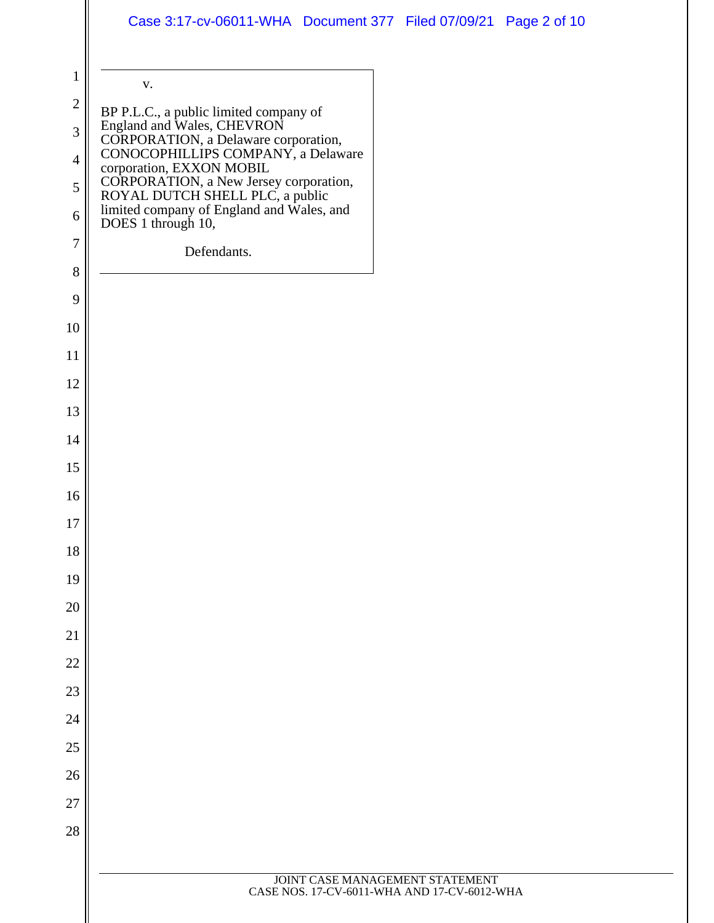| $\mathbf{1}$                            | ${\bf V}$ .                                                                                                                                                                    |
|-----------------------------------------|--------------------------------------------------------------------------------------------------------------------------------------------------------------------------------|
| $\boldsymbol{2}$<br>3<br>$\overline{4}$ | BP P.L.C., a public limited company of<br>England and Wales, CHEVRON<br>CORPORATION, a Delaware corporation,<br>CONOCOPHILLIPS COMPANY, a Delaware<br>corporation, EXXON MOBIL |
| 5<br>6                                  | CORPORATION, a New Jersey corporation,<br>ROYAL DUTCH SHELL PLC, a public<br>limited company of England and Wales, and<br>DOES 1 through 10,                                   |
| $\boldsymbol{7}$                        | Defendants.                                                                                                                                                                    |
| 8                                       |                                                                                                                                                                                |
| 9                                       |                                                                                                                                                                                |
| 10                                      |                                                                                                                                                                                |
| 11                                      |                                                                                                                                                                                |
| 12                                      |                                                                                                                                                                                |
| 13                                      |                                                                                                                                                                                |
| 14                                      |                                                                                                                                                                                |
| 15                                      |                                                                                                                                                                                |
| 16                                      |                                                                                                                                                                                |
| 17                                      |                                                                                                                                                                                |
| 18                                      |                                                                                                                                                                                |
| 19                                      |                                                                                                                                                                                |
| 20                                      |                                                                                                                                                                                |
| 21                                      |                                                                                                                                                                                |
| 22                                      |                                                                                                                                                                                |
| 23                                      |                                                                                                                                                                                |
| 24                                      |                                                                                                                                                                                |
| 25                                      |                                                                                                                                                                                |
| 26                                      |                                                                                                                                                                                |
| 27                                      |                                                                                                                                                                                |
| 28                                      |                                                                                                                                                                                |
|                                         |                                                                                                                                                                                |
|                                         | JOINT CASE MANAGEMENT STATEMENT<br>CASE NOS. 17-CV-6011-WHA AND 17-CV-6012-WHA                                                                                                 |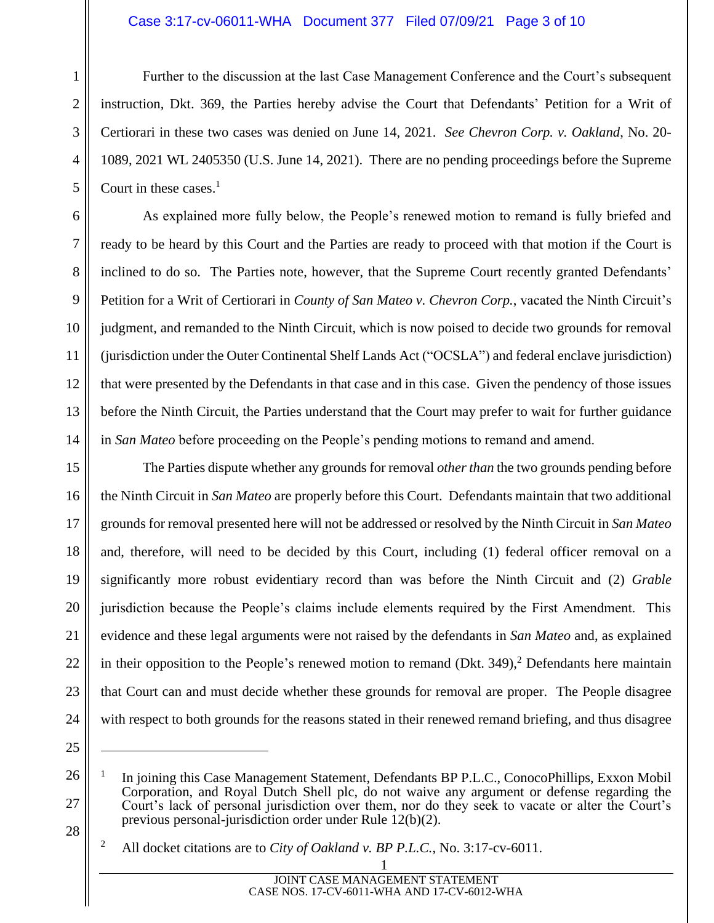#### Case 3:17-cv-06011-WHA Document 377 Filed 07/09/21 Page 3 of 10

Further to the discussion at the last Case Management Conference and the Court's subsequent instruction, Dkt. 369, the Parties hereby advise the Court that Defendants' Petition for a Writ of Certiorari in these two cases was denied on June 14, 2021. *See Chevron Corp. v. Oakland*, No. 20- 1089, 2021 WL 2405350 (U.S. June 14, 2021). There are no pending proceedings before the Supreme Court in these cases. $<sup>1</sup>$ </sup>

As explained more fully below, the People's renewed motion to remand is fully briefed and ready to be heard by this Court and the Parties are ready to proceed with that motion if the Court is inclined to do so. The Parties note, however, that the Supreme Court recently granted Defendants' Petition for a Writ of Certiorari in *County of San Mateo v. Chevron Corp.*, vacated the Ninth Circuit's judgment, and remanded to the Ninth Circuit, which is now poised to decide two grounds for removal (jurisdiction under the Outer Continental Shelf Lands Act ("OCSLA") and federal enclave jurisdiction) that were presented by the Defendants in that case and in this case. Given the pendency of those issues before the Ninth Circuit, the Parties understand that the Court may prefer to wait for further guidance in *San Mateo* before proceeding on the People's pending motions to remand and amend.

15 16 17 18 19 20 21 22 23 24 The Parties dispute whether any grounds for removal *other than* the two grounds pending before the Ninth Circuit in *San Mateo* are properly before this Court. Defendants maintain that two additional grounds for removal presented here will not be addressed or resolved by the Ninth Circuit in *San Mateo* and, therefore, will need to be decided by this Court, including (1) federal officer removal on a significantly more robust evidentiary record than was before the Ninth Circuit and (2) *Grable* jurisdiction because the People's claims include elements required by the First Amendment. This evidence and these legal arguments were not raised by the defendants in *San Mateo* and, as explained in their opposition to the People's renewed motion to remand (Dkt. 349),<sup>2</sup> Defendants here maintain that Court can and must decide whether these grounds for removal are proper. The People disagree with respect to both grounds for the reasons stated in their renewed remand briefing, and thus disagree

25

26

27

28

1

2

3

4

5

6

7

8

9

10

11

12

13

14

<sup>1</sup> In joining this Case Management Statement, Defendants BP P.L.C., ConocoPhillips, Exxon Mobil Corporation, and Royal Dutch Shell plc, do not waive any argument or defense regarding the Court's lack of personal jurisdiction over them, nor do they seek to vacate or alter the Court's previous personal-jurisdiction order under Rule 12(b)(2).

<sup>2</sup> All docket citations are to *City of Oakland v. BP P.L.C.*, No. 3:17-cv-6011.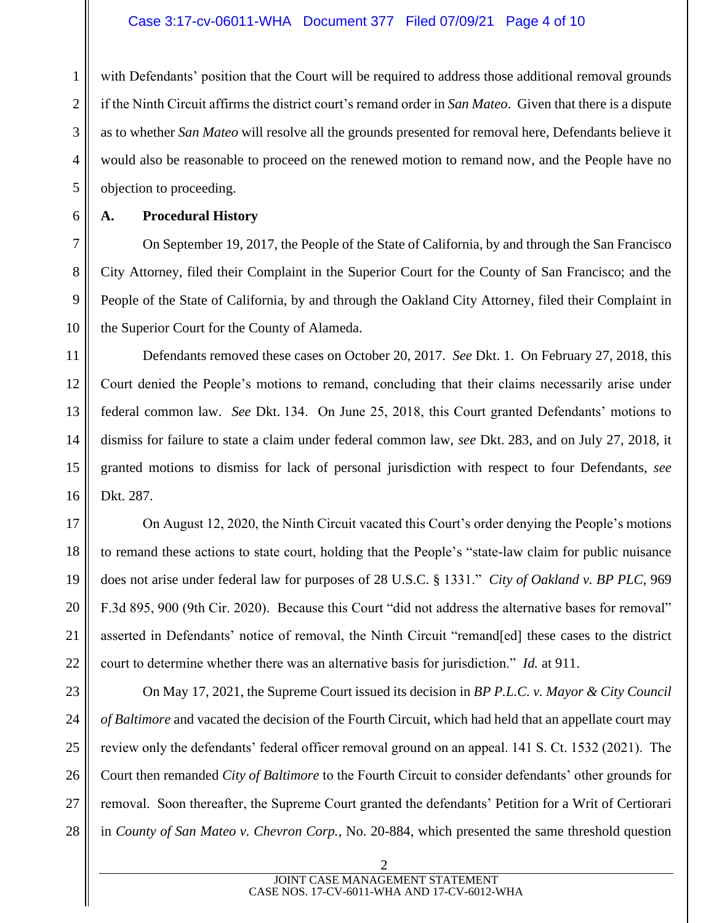1 2 3 4 5 with Defendants' position that the Court will be required to address those additional removal grounds if the Ninth Circuit affirms the district court's remand order in *San Mateo*. Given that there is a dispute as to whether *San Mateo* will resolve all the grounds presented for removal here, Defendants believe it would also be reasonable to proceed on the renewed motion to remand now, and the People have no objection to proceeding.

6

7

8

9

10

17

19

21

## **A. Procedural History**

On September 19, 2017, the People of the State of California, by and through the San Francisco City Attorney, filed their Complaint in the Superior Court for the County of San Francisco; and the People of the State of California, by and through the Oakland City Attorney, filed their Complaint in the Superior Court for the County of Alameda.

11 12 13 14 15 16 Defendants removed these cases on October 20, 2017. *See* Dkt. 1. On February 27, 2018, this Court denied the People's motions to remand, concluding that their claims necessarily arise under federal common law. *See* Dkt. 134. On June 25, 2018, this Court granted Defendants' motions to dismiss for failure to state a claim under federal common law, *see* Dkt. 283, and on July 27, 2018, it granted motions to dismiss for lack of personal jurisdiction with respect to four Defendants, *see*  Dkt. 287.

18 20 22 On August 12, 2020, the Ninth Circuit vacated this Court's order denying the People's motions to remand these actions to state court, holding that the People's "state-law claim for public nuisance does not arise under federal law for purposes of 28 U.S.C. § 1331." *City of Oakland v. BP PLC*, 969 F.3d 895, 900 (9th Cir. 2020). Because this Court "did not address the alternative bases for removal" asserted in Defendants' notice of removal, the Ninth Circuit "remand[ed] these cases to the district court to determine whether there was an alternative basis for jurisdiction." *Id.* at 911.

23 24 25 26 27 28 On May 17, 2021, the Supreme Court issued its decision in *BP P.L.C. v. Mayor & City Council of Baltimore* and vacated the decision of the Fourth Circuit, which had held that an appellate court may review only the defendants' federal officer removal ground on an appeal. 141 S. Ct. 1532 (2021). The Court then remanded *City of Baltimore* to the Fourth Circuit to consider defendants' other grounds for removal. Soon thereafter, the Supreme Court granted the defendants' Petition for a Writ of Certiorari in *County of San Mateo v. Chevron Corp.*, No. 20-884, which presented the same threshold question

> 2 JOINT CASE MANAGEMENT STATEMENT CASE NOS. 17-CV-6011-WHA AND 17-CV-6012-WHA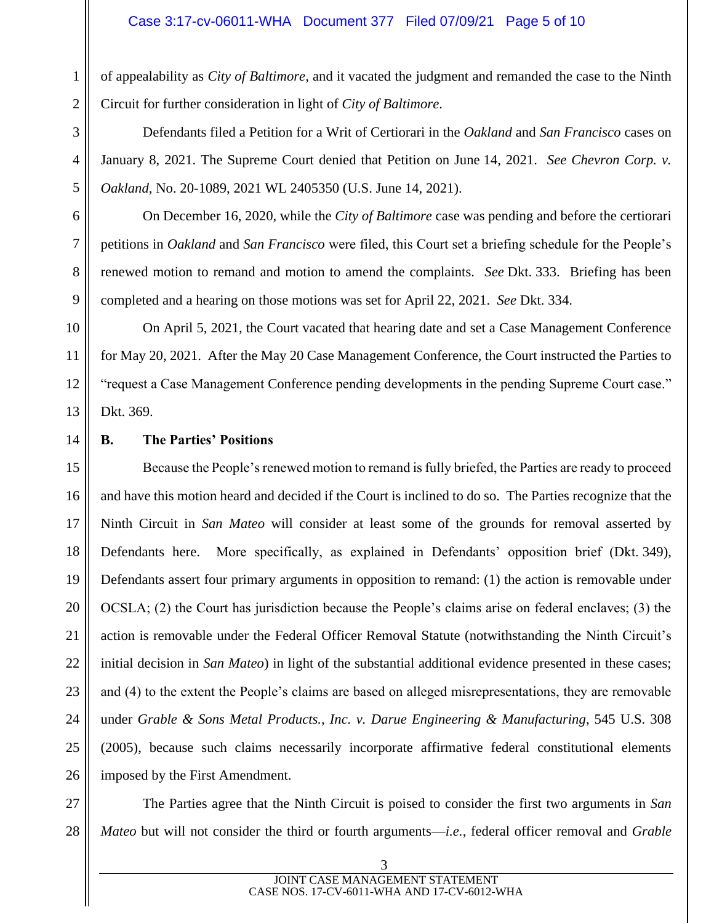of appealability as *City of Baltimore*, and it vacated the judgment and remanded the case to the Ninth Circuit for further consideration in light of *City of Baltimore*.

Defendants filed a Petition for a Writ of Certiorari in the *Oakland* and *San Francisco* cases on January 8, 2021. The Supreme Court denied that Petition on June 14, 2021. *See Chevron Corp. v. Oakland*, No. 20-1089, 2021 WL 2405350 (U.S. June 14, 2021).

On December 16, 2020, while the *City of Baltimore* case was pending and before the certiorari petitions in *Oakland* and *San Francisco* were filed, this Court set a briefing schedule for the People's renewed motion to remand and motion to amend the complaints. *See* Dkt. 333. Briefing has been completed and a hearing on those motions was set for April 22, 2021. *See* Dkt. 334.

On April 5, 2021, the Court vacated that hearing date and set a Case Management Conference for May 20, 2021. After the May 20 Case Management Conference, the Court instructed the Parties to "request a Case Management Conference pending developments in the pending Supreme Court case." Dkt. 369.

#### **B. The Parties' Positions**

15 16 17 18 19 20 21 22 23 24 25 26 Because the People's renewed motion to remand is fully briefed, the Parties are ready to proceed and have this motion heard and decided if the Court is inclined to do so. The Parties recognize that the Ninth Circuit in *San Mateo* will consider at least some of the grounds for removal asserted by Defendants here. More specifically, as explained in Defendants' opposition brief (Dkt. 349), Defendants assert four primary arguments in opposition to remand: (1) the action is removable under OCSLA; (2) the Court has jurisdiction because the People's claims arise on federal enclaves; (3) the action is removable under the Federal Officer Removal Statute (notwithstanding the Ninth Circuit's initial decision in *San Mateo*) in light of the substantial additional evidence presented in these cases; and (4) to the extent the People's claims are based on alleged misrepresentations, they are removable under *Grable & Sons Metal Products., Inc. v. Darue Engineering & Manufacturing*, 545 U.S. 308 (2005), because such claims necessarily incorporate affirmative federal constitutional elements imposed by the First Amendment.

27

1

2

3

4

5

6

7

8

9

10

11

12

13

14

28 The Parties agree that the Ninth Circuit is poised to consider the first two arguments in *San Mateo* but will not consider the third or fourth arguments—*i.e.*, federal officer removal and *Grable*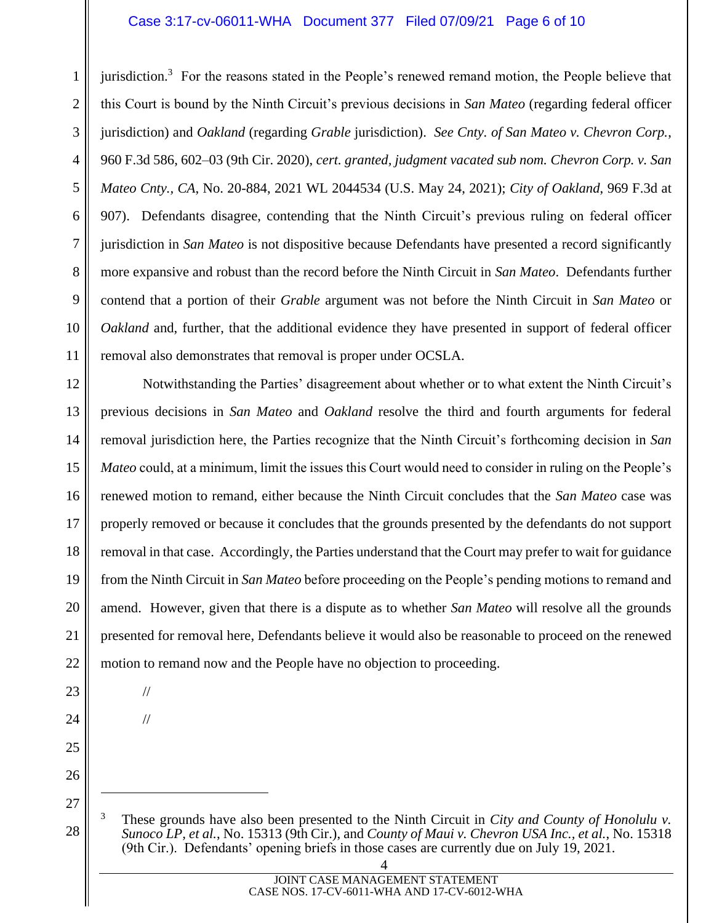#### Case 3:17-cv-06011-WHA Document 377 Filed 07/09/21 Page 6 of 10

1 2 3 4 5 6 7 8 9 10 11 jurisdiction.<sup>3</sup> For the reasons stated in the People's renewed remand motion, the People believe that this Court is bound by the Ninth Circuit's previous decisions in *San Mateo* (regarding federal officer jurisdiction) and *Oakland* (regarding *Grable* jurisdiction). *See Cnty. of San Mateo v. Chevron Corp.*, 960 F.3d 586, 602–03 (9th Cir. 2020), *cert. granted, judgment vacated sub nom. Chevron Corp. v. San Mateo Cnty., CA*, No. 20-884, 2021 WL 2044534 (U.S. May 24, 2021); *City of Oakland*, 969 F.3d at 907). Defendants disagree, contending that the Ninth Circuit's previous ruling on federal officer jurisdiction in *San Mateo* is not dispositive because Defendants have presented a record significantly more expansive and robust than the record before the Ninth Circuit in *San Mateo*. Defendants further contend that a portion of their *Grable* argument was not before the Ninth Circuit in *San Mateo* or *Oakland* and, further, that the additional evidence they have presented in support of federal officer removal also demonstrates that removal is proper under OCSLA.

12 13 14 15 16 17 18 19 20 21 22 Notwithstanding the Parties' disagreement about whether or to what extent the Ninth Circuit's previous decisions in *San Mateo* and *Oakland* resolve the third and fourth arguments for federal removal jurisdiction here, the Parties recognize that the Ninth Circuit's forthcoming decision in *San Mateo* could, at a minimum, limit the issues this Court would need to consider in ruling on the People's renewed motion to remand, either because the Ninth Circuit concludes that the *San Mateo* case was properly removed or because it concludes that the grounds presented by the defendants do not support removal in that case. Accordingly, the Parties understand that the Court may prefer to wait for guidance from the Ninth Circuit in *San Mateo* before proceeding on the People's pending motions to remand and amend. However, given that there is a dispute as to whether *San Mateo* will resolve all the grounds presented for removal here, Defendants believe it would also be reasonable to proceed on the renewed motion to remand now and the People have no objection to proceeding.

//

23

24

25

26

27

28

- //
- <sup>3</sup> These grounds have also been presented to the Ninth Circuit in *City and County of Honolulu v. Sunoco LP, et al.*, No. 15313 (9th Cir.), and *County of Maui v. Chevron USA Inc., et al.*, No. 15318 (9th Cir.). Defendants' opening briefs in those cases are currently due on July 19, 2021.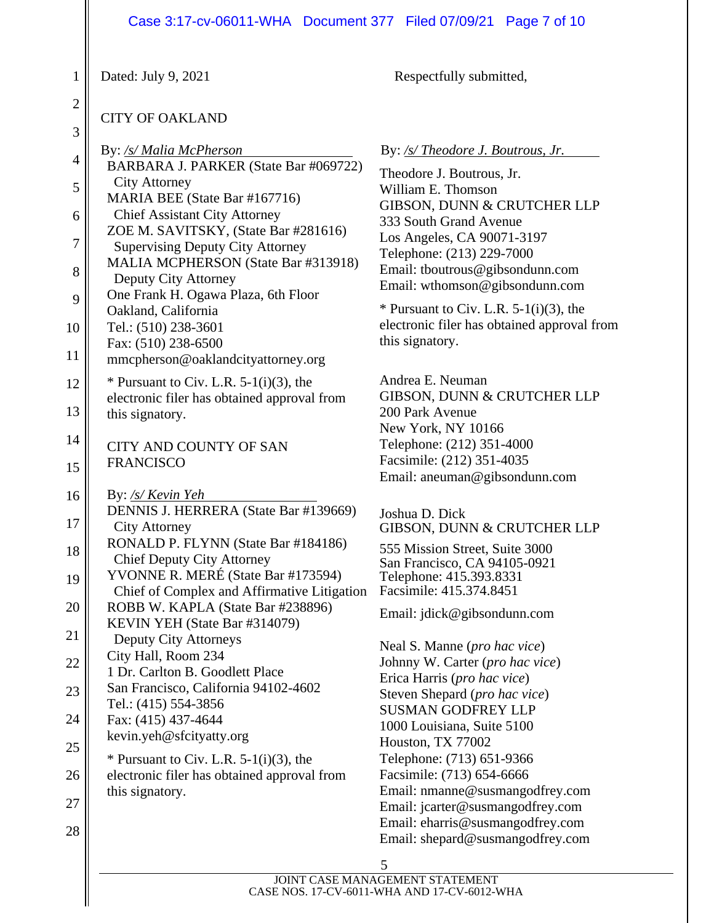#### Case 3:17-cv-06011-WHA Document 377 Filed 07/09/21 Page 7 of 10

Dated: July 9, 2021 Respectfully submitted,

1

2

### CITY OF OAKLAND

| 3              |                                                                                  |
|----------------|----------------------------------------------------------------------------------|
| $\overline{4}$ | By: /s/ Malia McPherson                                                          |
|                | BARBARA J. PARKER (State Bar #069722)<br><b>City Attorney</b>                    |
| 5              | MARIA BEE (State Bar #167716)                                                    |
| 6              | <b>Chief Assistant City Attorney</b>                                             |
| $\overline{7}$ | ZOE M. SAVITSKY, (State Bar #281616)                                             |
|                | <b>Supervising Deputy City Attorney</b>                                          |
| 8              | MALIA MCPHERSON (State Bar #313918)<br>Deputy City Attorney                      |
| 9              | One Frank H. Ogawa Plaza, 6th Floor                                              |
|                | Oakland, California                                                              |
| 10             | Tel.: (510) 238-3601                                                             |
| 11             | Fax: (510) 238-6500                                                              |
|                | mmcpherson@oaklandcityattorney.org                                               |
| 12             | * Pursuant to Civ. L.R. $5-1(i)(3)$ , the                                        |
| 13             | electronic filer has obtained approval from<br>this signatory.                   |
| 14             | <b>CITY AND COUNTY OF SAN</b>                                                    |
| 15             | <b>FRANCISCO</b>                                                                 |
| 16             | By: /s/ Kevin Yeh                                                                |
| 17             | DENNIS J. HERRERA (State Bar #139669)<br><b>City Attorney</b>                    |
|                | RONALD P. FLYNN (State Bar #184186)                                              |
| 18             | <b>Chief Deputy City Attorney</b>                                                |
| 19             | YVONNE R. MERÉ (State Bar #173594)                                               |
| 20             | Chief of Complex and Affirmative Litigation<br>ROBB W. KAPLA (State Bar #238896) |
|                | KEVIN YEH (State Bar #314079)                                                    |
| 21             | Deputy City Attorneys                                                            |
| 22             | City Hall, Room 234                                                              |
|                | 1 Dr. Carlton B. Goodlett Place                                                  |
| 23             | San Francisco, California 94102-4602<br>Tel.: (415) 554-3856                     |
| 24             | Fax: (415) 437-4644                                                              |
|                | kevin.yeh@sfcityatty.org                                                         |
| 25             | * Pursuant to Civ. L.R. $5-1(i)(3)$ , the                                        |
| 26             | electronic filer has obtained approval from                                      |
| 27             | this signatory.                                                                  |
| 28             |                                                                                  |
|                |                                                                                  |

# By: */s/ Theodore J. Boutrous, Jr.*

Theodore J. Boutrous, Jr. William E. Thomson GIBSON, DUNN & CRUTCHER LLP 333 South Grand Avenue Los Angeles, CA 90071-3197 Telephone: (213) 229-7000 Email: tboutrous@gibsondunn.com Email: wthomson@gibsondunn.com

 $*$  Pursuant to Civ. L.R. 5-1(i)(3), the electronic filer has obtained approval from this signatory.

Andrea E. Neuman GIBSON, DUNN & CRUTCHER LLP 200 Park Avenue New York, NY 10166 Telephone: (212) 351-4000 Facsimile: (212) 351-4035 Email: aneuman@gibsondunn.com

Joshua D. Dick GIBSON, DUNN & CRUTCHER LLP

555 Mission Street, Suite 3000 San Francisco, CA 94105-0921 Telephone: 415.393.8331 Facsimile: 415.374.8451

Email: [jdick@gibsondunn.com](mailto:jdick@gibsondunn.com)

Neal S. Manne (*pro hac vice*) Johnny W. Carter (*pro hac vice*) Erica Harris (*pro hac vice*) Steven Shepard (*pro hac vice*) SUSMAN GODFREY LLP 1000 Louisiana, Suite 5100 Houston, TX 77002 Telephone: (713) 651-9366 Facsimile: (713) 654-6666 Email: nmanne@susmangodfrey.com Email: jcarter@susmangodfrey.com Email: eharris@susmangodfrey.com Email: shepard@susmangodfrey.com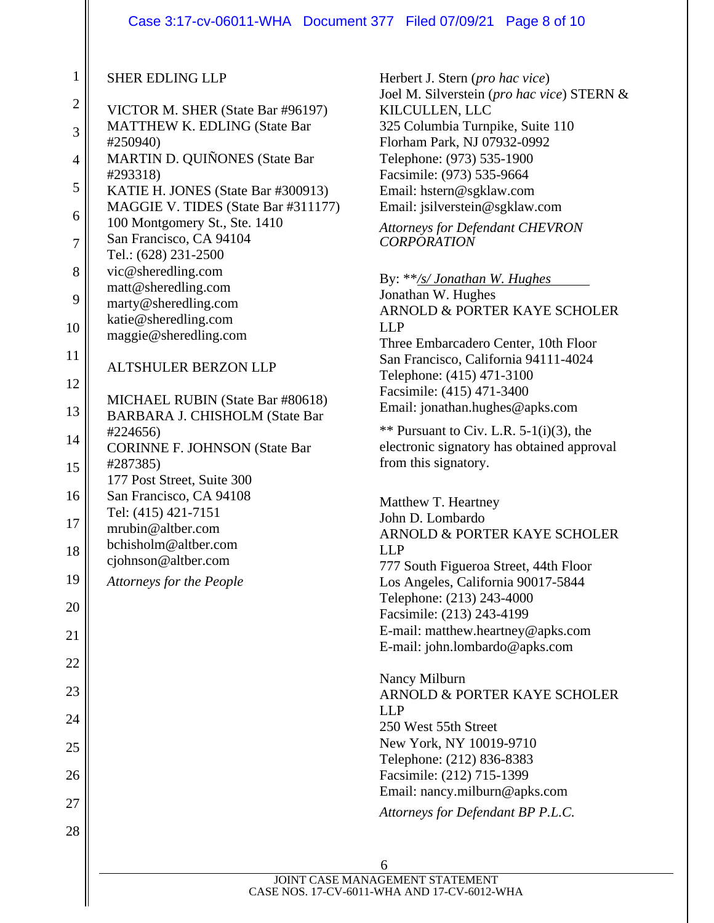## Case 3:17-cv-06011-WHA Document 377 Filed 07/09/21 Page 8 of 10

| $\mathbf{1}$   | <b>SHER EDLING LLP</b>                                               |
|----------------|----------------------------------------------------------------------|
| $\overline{c}$ | VICTOR M. SHER (State Bar #96197)                                    |
| 3              | <b>MATTHEW K. EDLING (State Bar</b><br>#250940)                      |
| $\overline{4}$ | <b>MARTIN D. QUIÑONES (State Bar</b>                                 |
| 5              | #293318)<br>KATIE H. JONES (State Bar #300913)                       |
| 6              | MAGGIE V. TIDES (State Bar #311177)<br>100 Montgomery St., Ste. 1410 |
| $\overline{7}$ | San Francisco, CA 94104<br>Tel.: (628) 231-2500                      |
| 8              | vic@sheredling.com                                                   |
| 9              | matt@sheredling.com<br>marty@sheredling.com                          |
| 10             | katie@sheredling.com                                                 |
|                | maggie@sheredling.com                                                |
| 11             | <b>ALTSHULER BERZON LLP</b>                                          |
| 12             | MICHAEL RUBIN (State Bar #80618)                                     |
| 13             | <b>BARBARA J. CHISHOLM (State Bar</b>                                |
| 14             | #224656)<br><b>CORINNE F. JOHNSON (State Bar</b>                     |
| 15             | #287385)<br>177 Post Street, Suite 300                               |
| 16             | San Francisco, CA 94108                                              |
| 17             | Tel: (415) 421-7151<br>mrubin@altber.com                             |
| 18             | bchisholm@altber.com<br>cjohnson@altber.com                          |
| 19             | <b>Attorneys for the People</b>                                      |
| 20             |                                                                      |
| 21             |                                                                      |
| 22             |                                                                      |
| 23             |                                                                      |
| 24             |                                                                      |
| 25             |                                                                      |
| 26             |                                                                      |
| 27             |                                                                      |
| 28             |                                                                      |
|                |                                                                      |

Herbert J. Stern (*pro hac vice*) Joel M. Silverstein (*pro hac vice*) STERN & KILCULLEN, LLC 325 Columbia Turnpike, Suite 110 Florham Park, NJ 07932-0992 Telephone: (973) 535-1900 Facsimile: (973) 535-9664 Email: [hstern@sgklaw.com](mailto:hstern@sgklaw.com) Email: [jsilverstein@sgklaw.com](mailto:jsilverstein@sgklaw.com)

*Attorneys for Defendant CHEVRON CORPORATION*

By: \*\**/s/ Jonathan W. Hughes*

Jonathan W. Hughes ARNOLD & PORTER KAYE SCHOLER LLP Three Embarcadero Center, 10th Floor San Francisco, California 94111-4024 Telephone: (415) 471-3100 Facsimile: (415) 471-3400 Email: jonathan.hughes@apks.com

 $**$  Pursuant to Civ. L.R. 5-1(i)(3), the electronic signatory has obtained approval from this signatory.

Matthew T. Heartney John D. Lombardo ARNOLD & PORTER KAYE SCHOLER LLP 777 South Figueroa Street, 44th Floor Los Angeles, California 90017-5844 Telephone: (213) 243-4000 Facsimile: (213) 243-4199 E-mail: matthew.heartney@apks.com E-mail: john.lombardo@apks.com

Nancy Milburn ARNOLD & PORTER KAYE SCHOLER LLP 250 West 55th Street New York, NY 10019-9710 Telephone: (212) 836-8383 Facsimile: (212) 715-1399 Email: nancy.milburn@apks.com

*Attorneys for Defendant BP P.L.C.*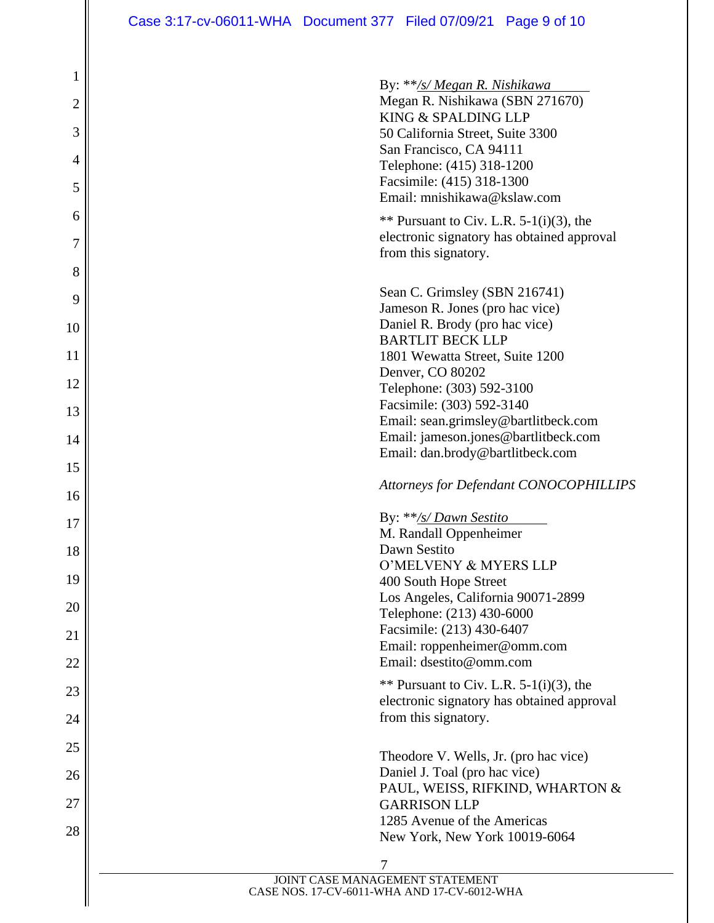# Case 3:17-cv-06011-WHA Document 377 Filed 07/09/21 Page 9 of 10

 $\parallel$ 

| 1<br>$\overline{2}$<br>3 | By: **/s/ Megan R. Nishikawa<br>Megan R. Nishikawa (SBN 271670)<br>KING & SPALDING LLP<br>50 California Street, Suite 3300<br>San Francisco, CA 94111 |
|--------------------------|-------------------------------------------------------------------------------------------------------------------------------------------------------|
| 4<br>5                   | Telephone: (415) 318-1200<br>Facsimile: (415) 318-1300<br>Email: mnishikawa@kslaw.com                                                                 |
| 6<br>7                   | ** Pursuant to Civ. L.R. $5-1(i)(3)$ , the<br>electronic signatory has obtained approval<br>from this signatory.                                      |
| 8                        |                                                                                                                                                       |
| 9                        | Sean C. Grimsley (SBN 216741)<br>Jameson R. Jones (pro hac vice)                                                                                      |
| 10                       | Daniel R. Brody (pro hac vice)<br><b>BARTLIT BECK LLP</b>                                                                                             |
| 11                       | 1801 Wewatta Street, Suite 1200                                                                                                                       |
| 12                       | Denver, CO 80202<br>Telephone: (303) 592-3100                                                                                                         |
| 13                       | Facsimile: (303) 592-3140                                                                                                                             |
|                          | Email: sean.grimsley@bartlitbeck.com<br>Email: jameson.jones@bartlitbeck.com                                                                          |
| 14                       | Email: dan.brody@bartlitbeck.com                                                                                                                      |
| 15                       |                                                                                                                                                       |
| 16                       | Attorneys for Defendant CONOCOPHILLIPS                                                                                                                |
| 17                       | By: **/s/ Dawn Sestito                                                                                                                                |
| 18                       | M. Randall Oppenheimer<br>Dawn Sestito                                                                                                                |
|                          | O'MELVENY & MYERS LLP                                                                                                                                 |
| 19                       | 400 South Hope Street                                                                                                                                 |
| 20                       | Los Angeles, California 90071-2899<br>Telephone: (213) 430-6000                                                                                       |
| 21                       | Facsimile: (213) 430-6407                                                                                                                             |
|                          | Email: roppenheimer@omm.com                                                                                                                           |
| 22                       | Email: dsestito@omm.com                                                                                                                               |
| 23                       | ** Pursuant to Civ. L.R. $5-1(i)(3)$ , the                                                                                                            |
| 24                       | electronic signatory has obtained approval<br>from this signatory.                                                                                    |
| 25                       |                                                                                                                                                       |
|                          | Theodore V. Wells, Jr. (pro hac vice)<br>Daniel J. Toal (pro hac vice)                                                                                |
| 26                       | PAUL, WEISS, RIFKIND, WHARTON &                                                                                                                       |
| 27                       | <b>GARRISON LLP</b>                                                                                                                                   |
| 28                       | 1285 Avenue of the Americas<br>New York, New York 10019-6064                                                                                          |
|                          |                                                                                                                                                       |
|                          | 7<br>JOINT CASE MANAGEMENT STATEMENT                                                                                                                  |
|                          | CASE NOS. 17-CV-6011-WHA AND 17-CV-6012-WHA                                                                                                           |